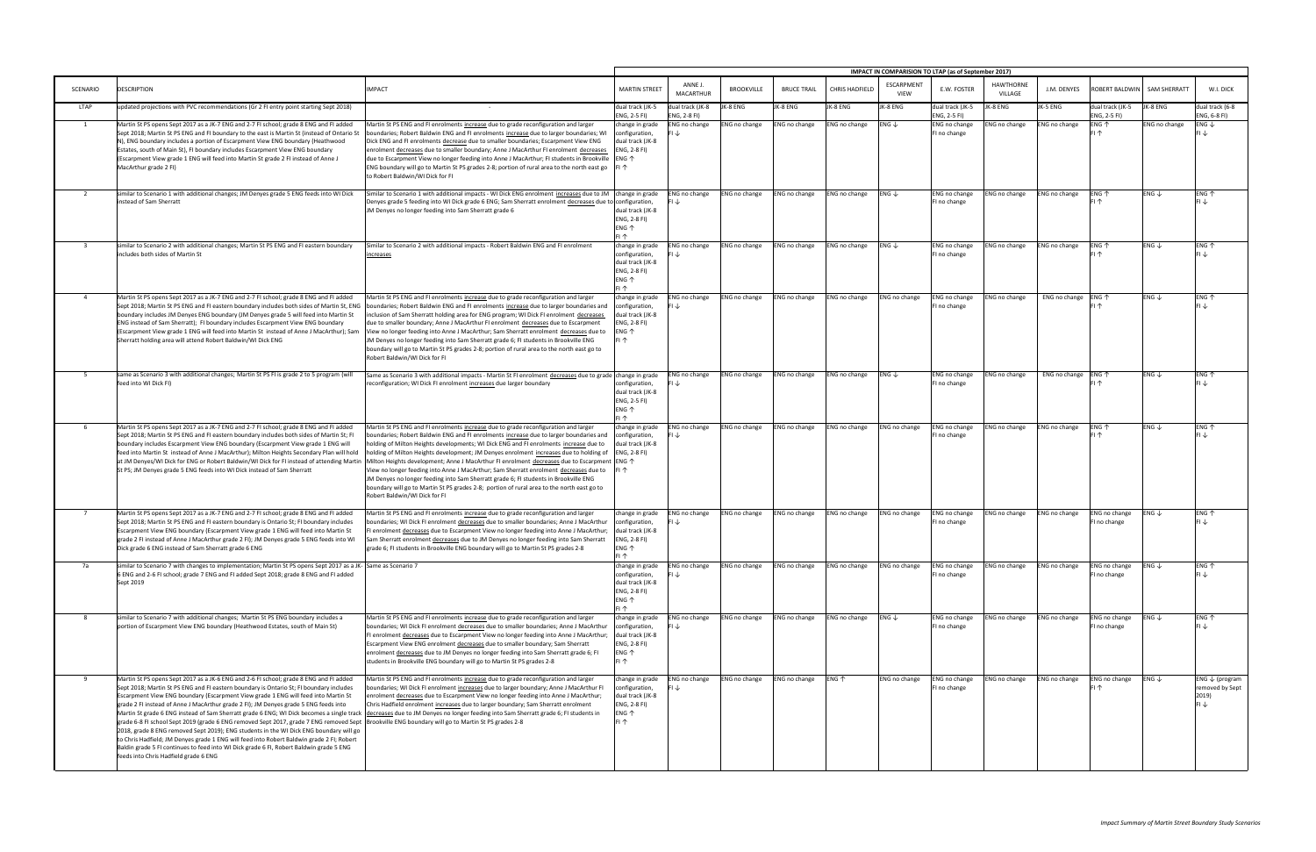|                         |                                                                                                                                                                                                                                                                                                                                                                                                                                                                                                                                                                                                                                                                                                                                                                                                                                                                                                                                                                                                                                       |                                                                                                                                                                                                                                                                                                                                                                                                                                                                                                                                                                                                                                                                                                                                                                                                                                                                             | IMPACT IN COMPARISION TO LTAP (as of September 2017)                                                       |                                  |                      |                    |                       |                           |                                  |                             |                                      |                                  |                             |                                                               |
|-------------------------|---------------------------------------------------------------------------------------------------------------------------------------------------------------------------------------------------------------------------------------------------------------------------------------------------------------------------------------------------------------------------------------------------------------------------------------------------------------------------------------------------------------------------------------------------------------------------------------------------------------------------------------------------------------------------------------------------------------------------------------------------------------------------------------------------------------------------------------------------------------------------------------------------------------------------------------------------------------------------------------------------------------------------------------|-----------------------------------------------------------------------------------------------------------------------------------------------------------------------------------------------------------------------------------------------------------------------------------------------------------------------------------------------------------------------------------------------------------------------------------------------------------------------------------------------------------------------------------------------------------------------------------------------------------------------------------------------------------------------------------------------------------------------------------------------------------------------------------------------------------------------------------------------------------------------------|------------------------------------------------------------------------------------------------------------|----------------------------------|----------------------|--------------------|-----------------------|---------------------------|----------------------------------|-----------------------------|--------------------------------------|----------------------------------|-----------------------------|---------------------------------------------------------------|
| SCENARIO                | <b>DESCRIPTION</b>                                                                                                                                                                                                                                                                                                                                                                                                                                                                                                                                                                                                                                                                                                                                                                                                                                                                                                                                                                                                                    | <b>IMPACT</b>                                                                                                                                                                                                                                                                                                                                                                                                                                                                                                                                                                                                                                                                                                                                                                                                                                                               | <b>MARTIN STREET</b>                                                                                       | ANNE J.<br><b>MACARTHUR</b>      | <b>BROOKVILLE</b>    | <b>BRUCE TRAIL</b> | <b>CHRIS HADFIELD</b> | ESCARPMENT<br><b>VIEW</b> | E.W. FOSTER                      | <b>HAWTHORNE</b><br>VILLAGE | J.M. DENYES                          |                                  | ROBERT BALDWIN SAM SHERRATT | W.I. DICK                                                     |
| LTAP                    | updated projections with PVC recommendations (Gr 2 FI entry point starting Sept 2018)                                                                                                                                                                                                                                                                                                                                                                                                                                                                                                                                                                                                                                                                                                                                                                                                                                                                                                                                                 |                                                                                                                                                                                                                                                                                                                                                                                                                                                                                                                                                                                                                                                                                                                                                                                                                                                                             | dual track (JK-5<br>ENG, 2-5 FI)                                                                           | dual track (JK-8<br>ENG, 2-8 FI) | JK-8 ENG             | JK-8 ENG           | JK-8 ENG              | JK-8 ENG                  | dual track (JK-5<br>ENG, 2-5 FI) | JK-8 ENG                    | JK-5 ENG                             | dual track (JK-5<br>ENG, 2-5 FI) | JK-8 ENG                    | dual track (6-8<br>ENG, 6-8 FI)                               |
| 1                       | Martin St PS opens Sept 2017 as a JK-7 ENG and 2-7 FI school; grade 8 ENG and FI added<br>Sept 2018; Martin St PS ENG and FI boundary to the east is Martin St (instead of Ontario St<br>N), ENG boundary includes a portion of Escarpment View ENG boundary (Heathwood<br>Estates, south of Main St), FI boundary includes Escarpment View ENG boundary<br>(Escarpment View grade 1 ENG will feed into Martin St grade 2 FI instead of Anne J<br>MacArthur grade 2 FI)                                                                                                                                                                                                                                                                                                                                                                                                                                                                                                                                                               | Martin St PS ENG and FI enrolments increase due to grade reconfiguration and larger<br>boundaries; Robert Baldwin ENG and FI enrolments increase due to larger boundaries; WI<br>Dick ENG and FI enrolments decrease due to smaller boundaries; Escarpment View ENG<br>enrolment decreases due to smaller boundary; Anne J MacArthur FI enrolment decreases<br>due to Escarpment View no longer feeding into Anne J MacArthur; FI students in Brookville ENG $\uparrow$<br>ENG boundary will go to Martin St PS grades 2-8; portion of rural area to the north east go $\vert$ FI $\uparrow$<br>to Robert Baldwin/WI Dick for FI                                                                                                                                                                                                                                            | change in grade<br>configuration,<br>dual track (JK-8<br>ENG, 2-8 FI)                                      | ENG no change<br>∣↓              | ENG no change        | ENG no change      | ENG no change         | ENG $\downarrow$          | ENG no change<br>FI no change    | <b>NG no change</b>         | ENG no change                        | ENG 个<br>FI 个                    | ENG no change               | ENG $\downarrow$<br>l J                                       |
| $\overline{2}$          | similar to Scenario 1 with additional changes; JM Denyes grade 5 ENG feeds into WI Dick<br>instead of Sam Sherratt                                                                                                                                                                                                                                                                                                                                                                                                                                                                                                                                                                                                                                                                                                                                                                                                                                                                                                                    | Similar to Scenario 1 with additional impacts - WI Dick ENG enrolment increases due to JM change in grade<br>Denyes grade 5 feeding into WI Dick grade 6 ENG; Sam Sherratt enrolment decreases due to configuration,<br>JM Denyes no longer feeding into Sam Sherratt grade 6                                                                                                                                                                                                                                                                                                                                                                                                                                                                                                                                                                                               | dual track (JK-8<br>ENG, 2-8 FI)<br>$ENG$ $\uparrow$<br>FI 个                                               | ENG no change<br>FI $\downarrow$ | <b>ENG no change</b> | ENG no change      | ENG no change         | ENG $\downarrow$          | ENG no change<br>FI no change    | ENG no change               | <b>ENG no change</b>                 | ENG 个<br>FI 个                    | ENG $\downarrow$            | ENG 个<br>FI↓                                                  |
| $\overline{\mathbf{3}}$ | similar to Scenario 2 with additional changes; Martin St PS ENG and FI eastern boundary<br>includes both sides of Martin St                                                                                                                                                                                                                                                                                                                                                                                                                                                                                                                                                                                                                                                                                                                                                                                                                                                                                                           | Similar to Scenario 2 with additional impacts - Robert Baldwin ENG and FI enrolment<br><u>increases</u>                                                                                                                                                                                                                                                                                                                                                                                                                                                                                                                                                                                                                                                                                                                                                                     | change in grade<br>configuration,<br>dual track (JK-8<br>ENG, 2-8 FI)<br>$ENG$ $\uparrow$<br>FI 个          | ENG no change<br>FI↓             | ENG no change        | ENG no change      | ENG no change         | ENG $\downarrow$          | ENG no change<br>FI no change    | ENG no change               | ENG no change                        | ENG 个<br>FI 个                    | ENG $\downarrow$            | ENG 个<br>FI↓                                                  |
| $\overline{4}$          | Martin St PS opens Sept 2017 as a JK-7 ENG and 2-7 FI school; grade 8 ENG and FI added<br>Sept 2018; Martin St PS ENG and FI eastern boundary includes both sides of Martin St, ENG<br>boundary includes JM Denyes ENG boundary (JM Denyes grade 5 will feed into Martin St<br>ENG instead of Sam Sherratt); FI boundary includes Escarpment View ENG boundary<br>(Escarpment View grade 1 ENG will feed into Martin St instead of Anne J MacArthur); Sam<br>Sherratt holding area will attend Robert Baldwin/WI Dick ENG                                                                                                                                                                                                                                                                                                                                                                                                                                                                                                             | Martin St PS ENG and FI enrolments increase due to grade reconfiguration and larger<br>boundaries; Robert Baldwin ENG and FI enrolments increase due to larger boundaries and<br>inclusion of Sam Sherratt holding area for ENG program; WI Dick FI enrolment decreases<br>due to smaller boundary; Anne J MacArthur FI enrolment decreases due to Escarpment<br>View no longer feeding into Anne J MacArthur; Sam Sherratt enrolment decreases due to<br>JM Denyes no longer feeding into Sam Sherratt grade 6; FI students in Brookville ENG<br>boundary will go to Martin St PS grades 2-8; portion of rural area to the north east go to<br>Robert Baldwin/WI Dick for FI                                                                                                                                                                                               | change in grade<br>configuration,<br>dual track (JK-8<br>ENG, 2-8 FI)<br>$ENG$ $\uparrow$                  | ENG no change<br>FI↓             | ENG no change        | ENG no change      | ENG no change         | ENG no change             | ENG no change<br>I no change     | ENG no change               | ENG no change ENG $\uparrow$         | FI 个                             | $ENG \downarrow$            | ENG $\uparrow$<br>FI J                                        |
| 5                       | same as Scenario 3 with additional changes; Martin St PS FI is grade 2 to 5 program (will<br>feed into WI Dick FI)                                                                                                                                                                                                                                                                                                                                                                                                                                                                                                                                                                                                                                                                                                                                                                                                                                                                                                                    | Same as Scenario 3 with additional impacts - Martin St FI enrolment decreases due to grade change in grade<br>reconfiguration; WI Dick FI enrolment increases due larger boundary                                                                                                                                                                                                                                                                                                                                                                                                                                                                                                                                                                                                                                                                                           | configuration,<br>dual track (JK-8<br>ENG, 2-5 FI)<br>ENG 个<br>FI 个                                        | ENG no change<br>FI↓             | <b>ENG no change</b> | ENG no change      | ENG no change         | $ENG \downarrow$          | ENG no change<br>FI no change    | ENG no change               | ENG no change $ ENG \nightharpoonup$ |                                  | $ENG \downarrow$            | ENG $\uparrow$                                                |
| - 6                     | Martin St PS opens Sept 2017 as a JK-7 ENG and 2-7 FI school; grade 8 ENG and FI added<br>Sept 2018; Martin St PS ENG and FI eastern boundary includes both sides of Martin St; FI<br>boundary includes Escarpment View ENG boundary (Escarpment View grade 1 ENG will<br>feed into Martin St instead of Anne J MacArthur); Milton Heights Secondary Plan will hold<br>St PS; JM Denyes grade 5 ENG feeds into WI Dick instead of Sam Sherratt                                                                                                                                                                                                                                                                                                                                                                                                                                                                                                                                                                                        | Martin St PS ENG and FI enrolments increase due to grade reconfiguration and larger<br>boundaries; Robert Baldwin ENG and FI enrolments increase due to larger boundaries and<br>holding of Milton Heights developments; WI Dick ENG and FI enrolments increase due to<br>holding of Milton Heights development; JM Denyes enrolment increases due to holding of<br>at JM Denyes/WI Dick for ENG or Robert Baldwin/WI Dick for FI instead of attending Martin  Milton Heights development; Anne J MacArthur FI enrolment decreases due to Escarpment  ENG ↑<br>View no longer feeding into Anne J MacArthur; Sam Sherratt enrolment decreases due to<br>JM Denyes no longer feeding into Sam Sherratt grade 6; FI students in Brookville ENG<br>boundary will go to Martin St PS grades 2-8; portion of rural area to the north east go to<br>Robert Baldwin/WI Dick for FI | change in grade<br>configuration,<br>dual track (JK-8<br>ENG, 2-8 FI)                                      | ENG no change<br>∣↓              | <b>ENG no change</b> | ENG no change      | ENG no change         | ENG no change             | ENG no change<br>I no change     | ENG no change               | ENG no change                        | ENG 个<br>FI 个                    | $ENG \downarrow$            | ENG $\uparrow$                                                |
| 7                       | Martin St PS opens Sept 2017 as a JK-7 ENG and 2-7 FI school; grade 8 ENG and FI added<br>Sept 2018; Martin St PS ENG and FI eastern boundary is Ontario St; FI boundary includes<br>Escarpment View ENG boundary (Escarpment View grade 1 ENG will feed into Martin St<br>grade 2 FI instead of Anne J MacArthur grade 2 FI); JM Denyes grade 5 ENG feeds into WI<br>Dick grade 6 ENG instead of Sam Sherratt grade 6 ENG                                                                                                                                                                                                                                                                                                                                                                                                                                                                                                                                                                                                            | Martin St PS ENG and FI enrolments increase due to grade reconfiguration and larger<br>boundaries; WI Dick FI enrolment decreases due to smaller boundaries; Anne J MacArthur<br>FI enrolment decreases due to Escarpment View no longer feeding into Anne J MacArthur;<br>Sam Sherratt enrolment decreases due to JM Denyes no longer feeding into Sam Sherratt<br>rade 6; FI students in Brookville ENG boundary will go to Martin St PS grades 2-8                                                                                                                                                                                                                                                                                                                                                                                                                       | change in grade<br>configuration,<br>dual track (JK-8<br>ENG, 2-8 FI)<br>$ENG$ $\uparrow$<br>$F1 \uparrow$ | ENG no change<br>FI↓             | <b>ENG no change</b> | ENG no change      | ENG no change         | <b>ENG no change</b>      | ENG no change<br>I no change     | ENG no change               | ENG no change                        | ENG no change<br>FI no change    | $ENG \downarrow$            | ENG 个<br>FI↓                                                  |
| 7а                      | similar to Scenario 7 with changes to implementation; Martin St PS opens Sept 2017 as a JK- Same as Scenario 7<br>6 ENG and 2-6 FI school; grade 7 ENG and FI added Sept 2018; grade 8 ENG and FI added<br>Sept 2019                                                                                                                                                                                                                                                                                                                                                                                                                                                                                                                                                                                                                                                                                                                                                                                                                  |                                                                                                                                                                                                                                                                                                                                                                                                                                                                                                                                                                                                                                                                                                                                                                                                                                                                             | change in grade<br>configuration,<br>dual track (JK-8<br>ENG, 2-8 FI)<br>$ENG$ $\uparrow$<br>FI 个          | ENG no change<br>FI↓             | <b>ENG no change</b> | ENG no change      | ENG no change         | ENG no change             | ENG no change<br>I no change     | ENG no change               | ENG no change                        | ENG no change<br>FI no change    | $ENG \downarrow$            | ENG 个<br>FI $\downarrow$                                      |
| 8                       | similar to Scenario 7 with additional changes; Martin St PS ENG boundary includes a<br>portion of Escarpment View ENG boundary (Heathwood Estates, south of Main St)                                                                                                                                                                                                                                                                                                                                                                                                                                                                                                                                                                                                                                                                                                                                                                                                                                                                  | Martin St PS ENG and FI enrolments increase due to grade reconfiguration and larger<br>boundaries; WI Dick FI enrolment decreases due to smaller boundaries; Anne J MacArthur<br>FI enrolment decreases due to Escarpment View no longer feeding into Anne J MacArthur;<br>Escarpment View ENG enrolment decreases due to smaller boundary; Sam Sherratt<br>enrolment decreases due to JM Denyes no longer feeding into Sam Sherratt grade 6; FI<br>students in Brookville ENG boundary will go to Martin St PS grades 2-8                                                                                                                                                                                                                                                                                                                                                  | change in grade<br>configuration,<br>dual track (JK-8<br>ENG, 2-8 FI)<br>$ENG$ $\uparrow$<br>FI 个          | ENG no change<br>FI↓             | <b>ENG no change</b> | ENG no change      | ENG no change         | $ENG \downarrow$          | ENG no change<br>FI no change    | ENG no change               | ENG no change                        | ENG no change<br>FI no change    | $ENG \downarrow$            | ENG 个<br>$FL \downarrow$                                      |
| 9                       | Martin St PS opens Sept 2017 as a JK-6 ENG and 2-6 FI school; grade 8 ENG and FI added<br>Sept 2018; Martin St PS ENG and FI eastern boundary is Ontario St; FI boundary includes<br>Escarpment View ENG boundary (Escarpment View grade 1 ENG will feed into Martin St<br>grade 2 FI instead of Anne J MacArthur grade 2 FI); JM Denyes grade 5 ENG feeds into<br>Martin St grade 6 ENG instead of Sam Sherratt grade 6 ENG; WI Dick becomes a single track  decreases due to JM Denyes no longer feeding into Sam Sherratt grade 6; FI students in<br>grade 6-8 FI school Sept 2019 (grade 6 ENG removed Sept 2017, grade 7 ENG removed Sept  Brookville ENG boundary will go to Martin St PS grades 2-8<br>2018, grade 8 ENG removed Sept 2019); ENG students in the WI Dick ENG boundary will go<br>to Chris Hadfield; JM Denyes grade 1 ENG will feed into Robert Baldwin grade 2 FI; Robert<br>Baldin grade 5 FI continues to feed into WI Dick grade 6 FI, Robert Baldwin grade 5 ENG<br>feeds into Chris Hadfield grade 6 ENG | Martin St PS ENG and FI enrolments increase due to grade reconfiguration and larger<br>boundaries; WI Dick FI enrolment increases due to larger boundary; Anne J MacArthur FI<br>enrolment decreases due to Escarpment View no longer feeding into Anne J MacArthur;<br>Chris Hadfield enrolment increases due to larger boundary; Sam Sherratt enrolment                                                                                                                                                                                                                                                                                                                                                                                                                                                                                                                   | change in grade<br>configuration,<br>dual track (JK-8<br>NG, 2-8 FI)<br>$ENG$ $\uparrow$                   | ENG no change<br>FI↓             | <b>ENG no change</b> | ENG no change      | ENG 个                 | ENG no change             | ENG no change<br>I no change     | ENG no change               | ENG no change                        | ENG no change                    | $ENG \downarrow$            | ENG ↓ (program<br>removed by Sept<br>2019)<br>FI $\downarrow$ |